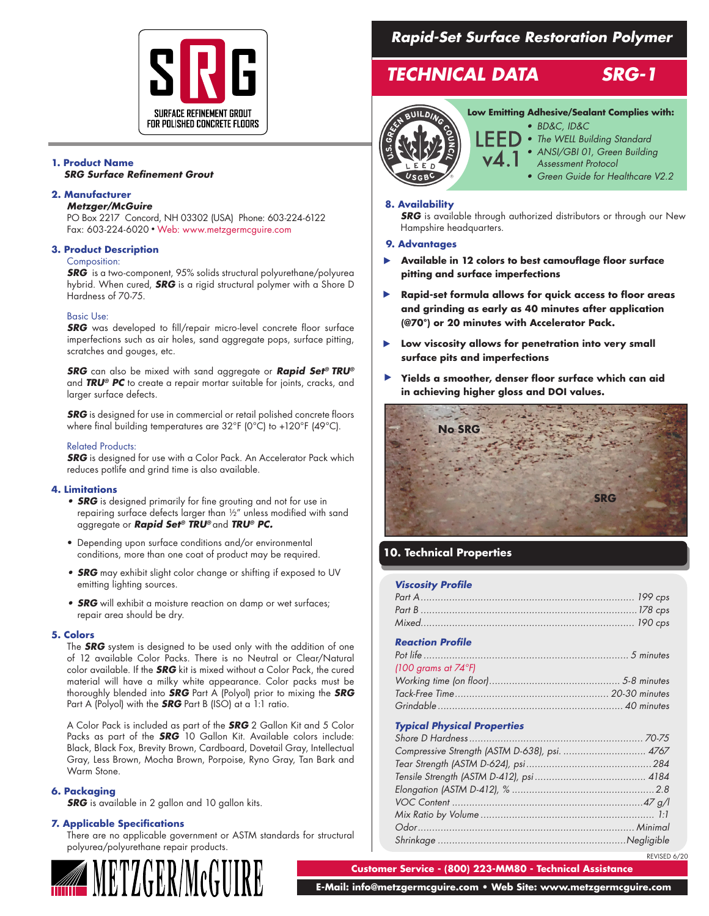

#### **1. Product Name** *SRG Surface Refinement Grout*

#### **2. Manufacturer**

*Metzger/McGuire*

PO Box 2217 Concord, NH 03302 (USA) Phone: 603-224-6122 Fax: 603-224-6020 • Web: www.metzgermcguire.com

#### **3. Product Description**

#### Composition:

*SRG* is a two-component, 95% solids structural polyurethane/polyurea hybrid. When cured, *SRG* is a rigid structural polymer with a Shore D Hardness of 70-75.

#### Basic Use:

**SRG** was developed to fill/repair micro-level concrete floor surface imperfections such as air holes, sand aggregate pops, surface pitting, scratches and gouges, etc.

*SRG* can also be mixed with sand aggregate or *Rapid Set® TRU®* and *TRU® PC* to create a repair mortar suitable for joints, cracks, and larger surface defects.

**SRG** is designed for use in commercial or retail polished concrete floors where final building temperatures are 32°F (0°C) to +120°F (49°C).

#### Related Products:

**SRG** is designed for use with a Color Pack. An Accelerator Pack which reduces potlife and grind time is also available.

#### **4. Limitations**

- *• SRG* is designed primarily for fine grouting and not for use in repairing surface defects larger than ½" unless modified with sand aggregate or *Rapid Set® TRU®* and *TRU® PC.*
- Depending upon surface conditions and/or environmental conditions, more than one coat of product may be required.
- *• SRG* may exhibit slight color change or shifting if exposed to UV emitting lighting sources.
- *• SRG* will exhibit a moisture reaction on damp or wet surfaces; repair area should be dry.

#### **5. Colors**

The *SRG* system is designed to be used only with the addition of one of 12 available Color Packs. There is no Neutral or Clear/Natural color available. If the *SRG* kit is mixed without a Color Pack, the cured material will have a milky white appearance. Color packs must be thoroughly blended into *SRG* Part A (Polyol) prior to mixing the *SRG* Part A (Polyol) with the *SRG* Part B (ISO) at a 1:1 ratio.

A Color Pack is included as part of the *SRG* 2 Gallon Kit and 5 Color Packs as part of the *SRG* 10 Gallon Kit. Available colors include: Black, Black Fox, Brevity Brown, Cardboard, Dovetail Gray, Intellectual Gray, Less Brown, Mocha Brown, Porpoise, Ryno Gray, Tan Bark and Warm Stone.

#### **6. Packaging**

*SRG* is available in 2 gallon and 10 gallon kits.

#### **7. Applicable Specifications**

There are no applicable government or ASTM standards for structural polyurea/polyurethane repair products.



# *Rapid-Set Surface Restoration Polymer*

# *TECHNICAL DATA SRG-1*



## **Low Emitting Adhesive/Sealant Complies with:**

- *• BD&C, ID&C*
	- *• The WELL Building Standard*
	- *• ANSI/GBI 01, Green Building*
	- *Assessment Protocol • Green Guide for Healthcare V2.2*

#### **8. Availability**

**SRG** is available through authorized distributors or through our New Hampshire headquarters.

#### **9. Advantages**

- **Available in 12 colors to best camouflage floor surface**  ▶ **pitting and surface imperfections**
- **Rapid-set formula allows for quick access to floor areas**  ▶ **and grinding as early as 40 minutes after application (@70°) or 20 minutes with Accelerator Pack.**
- **Low viscosity allows for penetration into very small surface pits and imperfections**  ▶
- **Yields a smoother, denser floor surface which can aid in achieving higher gloss and DOI values.**  ▶



### **10. Technical Properties**

#### *Viscosity Profile*

# *Reaction Profile*

| (100 grams at $74^{\circ}$ F) |  |
|-------------------------------|--|
|                               |  |
|                               |  |
|                               |  |

#### *Typical Physical Properties*

| Compressive Strength (ASTM D-638), psi.  4767 |              |
|-----------------------------------------------|--------------|
|                                               |              |
|                                               |              |
|                                               |              |
|                                               |              |
|                                               |              |
|                                               |              |
|                                               |              |
|                                               | REVISED 6/20 |

**Customer Service - (800) 223-MM80 - Technical Assistance**

 **E-Mail: info@metzgermcguire.com • Web Site: www.metzgermcguire.com**